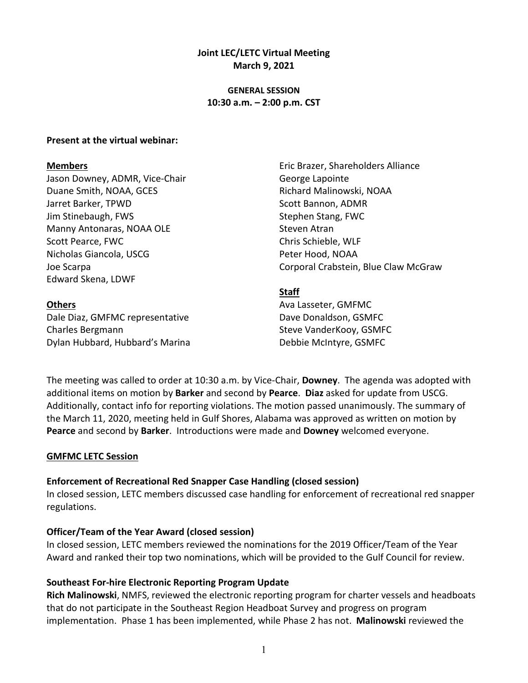### **Joint LEC/LETC Virtual Meeting March 9, 2021**

### **GENERAL SESSION 10:30 a.m. – 2:00 p.m. CST**

#### **Present at the virtual webinar:**

#### **Members**

Jason Downey, ADMR, Vice-Chair Duane Smith, NOAA, GCES Jarret Barker, TPWD Jim Stinebaugh, FWS Manny Antonaras, NOAA OLE Scott Pearce, FWC Nicholas Giancola, USCG Joe Scarpa Edward Skena, LDWF

#### **Others**

Dale Diaz, GMFMC representative Charles Bergmann Dylan Hubbard, Hubbard's Marina Eric Brazer, Shareholders Alliance George Lapointe Richard Malinowski, NOAA Scott Bannon, ADMR Stephen Stang, FWC Steven Atran Chris Schieble, WLF Peter Hood, NOAA Corporal Crabstein, Blue Claw McGraw

### **Staff**

Ava Lasseter, GMFMC Dave Donaldson, GSMFC Steve VanderKooy, GSMFC Debbie McIntyre, GSMFC

The meeting was called to order at 10:30 a.m. by Vice-Chair, **Downey**. The agenda was adopted with additional items on motion by **Barker** and second by **Pearce**. **Diaz** asked for update from USCG. Additionally, contact info for reporting violations. The motion passed unanimously. The summary of the March 11, 2020, meeting held in Gulf Shores, Alabama was approved as written on motion by **Pearce** and second by **Barker**. Introductions were made and **Downey** welcomed everyone.

#### **GMFMC LETC Session**

### **Enforcement of Recreational Red Snapper Case Handling (closed session)**

In closed session, LETC members discussed case handling for enforcement of recreational red snapper regulations.

#### **Officer/Team of the Year Award (closed session)**

In closed session, LETC members reviewed the nominations for the 2019 Officer/Team of the Year Award and ranked their top two nominations, which will be provided to the Gulf Council for review.

### **Southeast For-hire Electronic Reporting Program Update**

**Rich Malinowski**, NMFS, reviewed the electronic reporting program for charter vessels and headboats that do not participate in the Southeast Region Headboat Survey and progress on program implementation. Phase 1 has been implemented, while Phase 2 has not. **Malinowski** reviewed the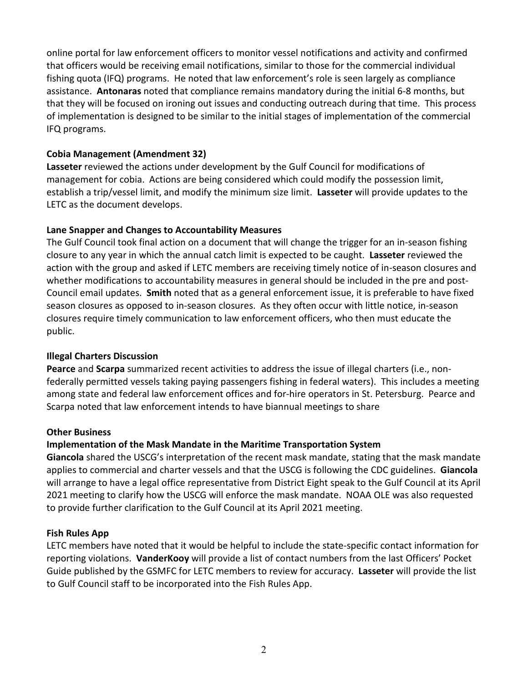online portal for law enforcement officers to monitor vessel notifications and activity and confirmed that officers would be receiving email notifications, similar to those for the commercial individual fishing quota (IFQ) programs. He noted that law enforcement's role is seen largely as compliance assistance. **Antonaras** noted that compliance remains mandatory during the initial 6-8 months, but that they will be focused on ironing out issues and conducting outreach during that time. This process of implementation is designed to be similar to the initial stages of implementation of the commercial IFQ programs.

## **Cobia Management (Amendment 32)**

**Lasseter** reviewed the actions under development by the Gulf Council for modifications of management for cobia. Actions are being considered which could modify the possession limit, establish a trip/vessel limit, and modify the minimum size limit. **Lasseter** will provide updates to the LETC as the document develops.

# **Lane Snapper and Changes to Accountability Measures**

The Gulf Council took final action on a document that will change the trigger for an in-season fishing closure to any year in which the annual catch limit is expected to be caught. **Lasseter** reviewed the action with the group and asked if LETC members are receiving timely notice of in-season closures and whether modifications to accountability measures in general should be included in the pre and post-Council email updates. **Smith** noted that as a general enforcement issue, it is preferable to have fixed season closures as opposed to in-season closures. As they often occur with little notice, in-season closures require timely communication to law enforcement officers, who then must educate the public.

## **Illegal Charters Discussion**

**Pearce** and **Scarpa** summarized recent activities to address the issue of illegal charters (i.e., nonfederally permitted vessels taking paying passengers fishing in federal waters). This includes a meeting among state and federal law enforcement offices and for-hire operators in St. Petersburg. Pearce and Scarpa noted that law enforcement intends to have biannual meetings to share

## **Other Business**

# **Implementation of the Mask Mandate in the Maritime Transportation System**

**Giancola** shared the USCG's interpretation of the recent mask mandate, stating that the mask mandate applies to commercial and charter vessels and that the USCG is following the CDC guidelines. **Giancola** will arrange to have a legal office representative from District Eight speak to the Gulf Council at its April 2021 meeting to clarify how the USCG will enforce the mask mandate. NOAA OLE was also requested to provide further clarification to the Gulf Council at its April 2021 meeting.

## **Fish Rules App**

LETC members have noted that it would be helpful to include the state-specific contact information for reporting violations. **VanderKooy** will provide a list of contact numbers from the last Officers' Pocket Guide published by the GSMFC for LETC members to review for accuracy. **Lasseter** will provide the list to Gulf Council staff to be incorporated into the Fish Rules App.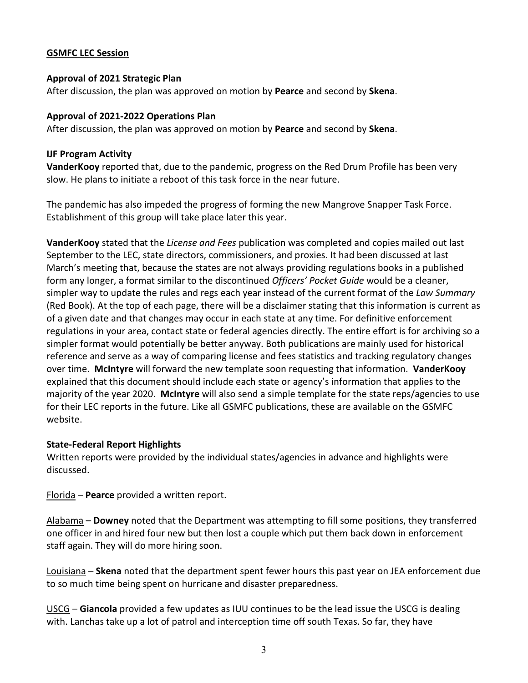### **GSMFC LEC Session**

### **Approval of 2021 Strategic Plan**

After discussion, the plan was approved on motion by **Pearce** and second by **Skena**.

#### **Approval of 2021-2022 Operations Plan**

After discussion, the plan was approved on motion by **Pearce** and second by **Skena**.

#### **IJF Program Activity**

**VanderKooy** reported that, due to the pandemic, progress on the Red Drum Profile has been very slow. He plans to initiate a reboot of this task force in the near future.

The pandemic has also impeded the progress of forming the new Mangrove Snapper Task Force. Establishment of this group will take place later this year.

**VanderKooy** stated that the *License and Fees* publication was completed and copies mailed out last September to the LEC, state directors, commissioners, and proxies. It had been discussed at last March's meeting that, because the states are not always providing regulations books in a published form any longer, a format similar to the discontinued *Officers' Pocket Guide* would be a cleaner, simpler way to update the rules and regs each year instead of the current format of the *Law Summary* (Red Book). At the top of each page, there will be a disclaimer stating that this information is current as of a given date and that changes may occur in each state at any time. For definitive enforcement regulations in your area, contact state or federal agencies directly. The entire effort is for archiving so a simpler format would potentially be better anyway. Both publications are mainly used for historical reference and serve as a way of comparing license and fees statistics and tracking regulatory changes over time. **McIntyre** will forward the new template soon requesting that information. **VanderKooy** explained that this document should include each state or agency's information that applies to the majority of the year 2020. **McIntyre** will also send a simple template for the state reps/agencies to use for their LEC reports in the future. Like all GSMFC publications, these are available on the GSMFC website.

### **State-Federal Report Highlights**

Written reports were provided by the individual states/agencies in advance and highlights were discussed.

Florida – **Pearce** provided a written report.

Alabama – **Downey** noted that the Department was attempting to fill some positions, they transferred one officer in and hired four new but then lost a couple which put them back down in enforcement staff again. They will do more hiring soon.

Louisiana – **Skena** noted that the department spent fewer hours this past year on JEA enforcement due to so much time being spent on hurricane and disaster preparedness.

USCG – **Giancola** provided a few updates as IUU continues to be the lead issue the USCG is dealing with. Lanchas take up a lot of patrol and interception time off south Texas. So far, they have